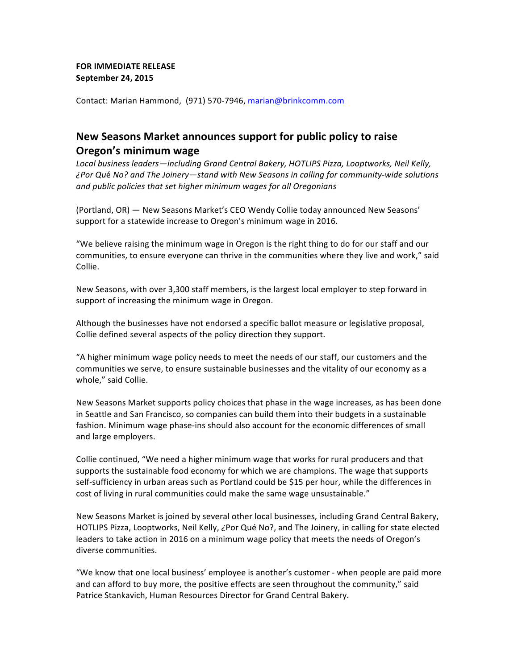## **FOR IMMEDIATE RELEASE September 24, 2015**

Contact: Marian Hammond, (971) 570-7946, marian@brinkcomm.com

## **New Seasons Market announces support for public policy to raise Oregon's minimum wage**

Local business leaders—including Grand Central Bakery, HOTLIPS Pizza, Looptworks, Neil Kelly, *¿Por Qué No? and The Joinery—stand with New Seasons in calling for community-wide solutions* and public policies that set higher minimum wages for all Oregonians

(Portland, OR) — New Seasons Market's CEO Wendy Collie today announced New Seasons' support for a statewide increase to Oregon's minimum wage in 2016.

"We believe raising the minimum wage in Oregon is the right thing to do for our staff and our communities, to ensure everyone can thrive in the communities where they live and work," said Collie.

New Seasons, with over 3,300 staff members, is the largest local employer to step forward in support of increasing the minimum wage in Oregon.

Although the businesses have not endorsed a specific ballot measure or legislative proposal, Collie defined several aspects of the policy direction they support.

"A higher minimum wage policy needs to meet the needs of our staff, our customers and the communities we serve, to ensure sustainable businesses and the vitality of our economy as a whole," said Collie.

New Seasons Market supports policy choices that phase in the wage increases, as has been done in Seattle and San Francisco, so companies can build them into their budgets in a sustainable fashion. Minimum wage phase-ins should also account for the economic differences of small and large employers.

Collie continued, "We need a higher minimum wage that works for rural producers and that supports the sustainable food economy for which we are champions. The wage that supports self-sufficiency in urban areas such as Portland could be \$15 per hour, while the differences in cost of living in rural communities could make the same wage unsustainable."

New Seasons Market is joined by several other local businesses, including Grand Central Bakery, HOTLIPS Pizza, Looptworks, Neil Kelly, ¿Por Qué No?, and The Joinery, in calling for state elected leaders to take action in 2016 on a minimum wage policy that meets the needs of Oregon's diverse communities.

"We know that one local business' employee is another's customer - when people are paid more and can afford to buy more, the positive effects are seen throughout the community," said Patrice Stankavich, Human Resources Director for Grand Central Bakery.